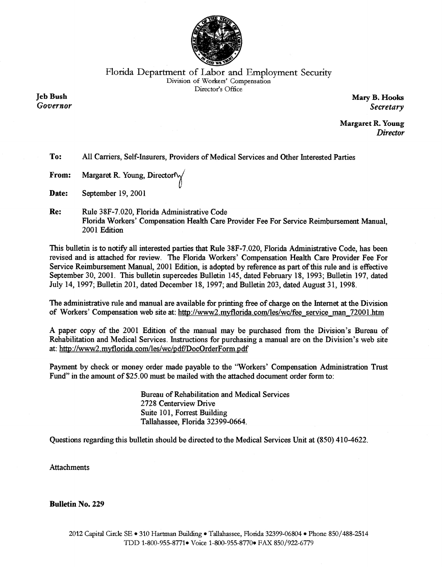

# Florida Department of Labor and Employment Security Division of Workers' Compensation Director's Office

**Jeb Bush** Governor

Mary B. Hooks Secretary

**Margaret R. Young Director** 

To: All Carriers, Self-Insurers, Providers of Medical Services and Other Interested Parties

- Margaret R. Young, Director $\sqrt{\ }$ From:
- Date: September 19, 2001
- Re: Rule 38F-7.020, Florida Administrative Code Florida Workers' Compensation Health Care Provider Fee For Service Reimbursement Manual, 2001 Edition

This bulletin is to notify all interested parties that Rule 38F-7.020, Florida Administrative Code, has been revised and is attached for review. The Florida Workers' Compensation Health Care Provider Fee For Service Reimbursement Manual, 2001 Edition, is adopted by reference as part of this rule and is effective September 30, 2001. This bulletin supercedes Bulletin 145, dated February 18, 1993; Bulletin 197, dated July 14, 1997; Bulletin 201, dated December 18, 1997; and Bulletin 203, dated August 31, 1998.

The administrative rule and manual are available for printing free of charge on the Internet at the Division of Workers' Compensation web site at: http://www2.myflorida.com/les/wc/fee service man 72001.htm

A paper copy of the 2001 Edition of the manual may be purchased from the Division's Bureau of Rehabilitation and Medical Services. Instructions for purchasing a manual are on the Division's web site at: http://www2.myflorida.com/les/wc/pdf/DocOrderForm.pdf

Payment by check or money order made payable to the "Workers' Compensation Administration Trust Fund" in the amount of \$25.00 must be mailed with the attached document order form to:

> **Bureau of Rehabilitation and Medical Services** 2728 Centerview Drive Suite 101, Forrest Building Tallahassee, Florida 32399-0664.

Questions regarding this bulletin should be directed to the Medical Services Unit at (850) 410-4622.

## **Attachments**

### **Bulletin No. 229**

# 2012 Capital Circle SE • 310 Hartman Building • Tallahassee, Florida 32399-06804 • Phone 850/488-2514 TDD 1-800-955-8771 Voice 1-800-955-8770 FAX 850/922-6779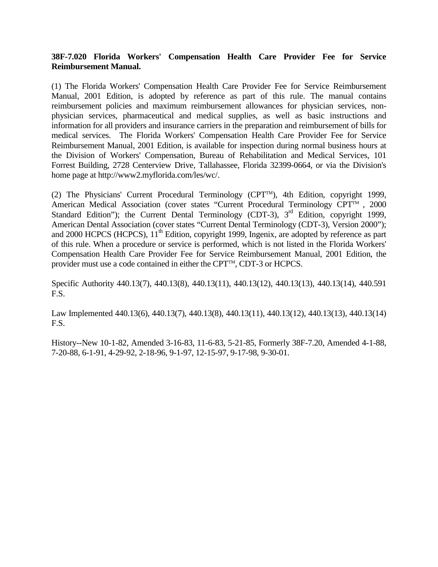#### **38F-7.020 Florida Workers' Compensation Health Care Provider Fee for Service Reimbursement Manual.**

(1) The Florida Workers' Compensation Health Care Provider Fee for Service Reimbursement Manual, 2001 Edition, is adopted by reference as part of this rule. The manual contains reimbursement policies and maximum reimbursement allowances for physician services, nonphysician services, pharmaceutical and medical supplies, as well as basic instructions and information for all providers and insurance carriers in the preparation and reimbursement of bills for medical services. The Florida Workers' Compensation Health Care Provider Fee for Service Reimbursement Manual, 2001 Edition, is available for inspection during normal business hours at the Division of Workers' Compensation, Bureau of Rehabilitation and Medical Services, 101 Forrest Building, 2728 Centerview Drive, Tallahassee, Florida 32399-0664, or via the Division's home page at http://www2.myflorida.com/les/wc/.

(2) The Physicians' Current Procedural Terminology (CPT<sup>TM</sup>), 4th Edition, copyright 1999, American Medical Association (cover states "Current Procedural Terminology  $CPT^{TM}$ , 2000 Standard Edition"); the Current Dental Terminology (CDT-3),  $3<sup>rd</sup>$  Edition, copyright 1999, American Dental Association (cover states "Current Dental Terminology (CDT-3), Version 2000"); and 2000 HCPCS (HCPCS),  $11<sup>th</sup>$  Edition, copyright 1999, Ingenix, are adopted by reference as part of this rule. When a procedure or service is performed, which is not listed in the Florida Workers' Compensation Health Care Provider Fee for Service Reimbursement Manual, 2001 Edition, the provider must use a code contained in either the CPT<sup>™</sup>, CDT-3 or HCPCS.

Specific Authority 440.13(7), 440.13(8), 440.13(11), 440.13(12), 440.13(13), 440.13(14), 440.591 F.S.

Law Implemented 440.13(6), 440.13(7), 440.13(8), 440.13(11), 440.13(12), 440.13(13), 440.13(14) F.S.

History--New 10-1-82, Amended 3-16-83, 11-6-83, 5-21-85, Formerly 38F-7.20, Amended 4-1-88, 7-20-88, 6-1-91, 4-29-92, 2-18-96, 9-1-97, 12-15-97, 9-17-98, 9-30-01.